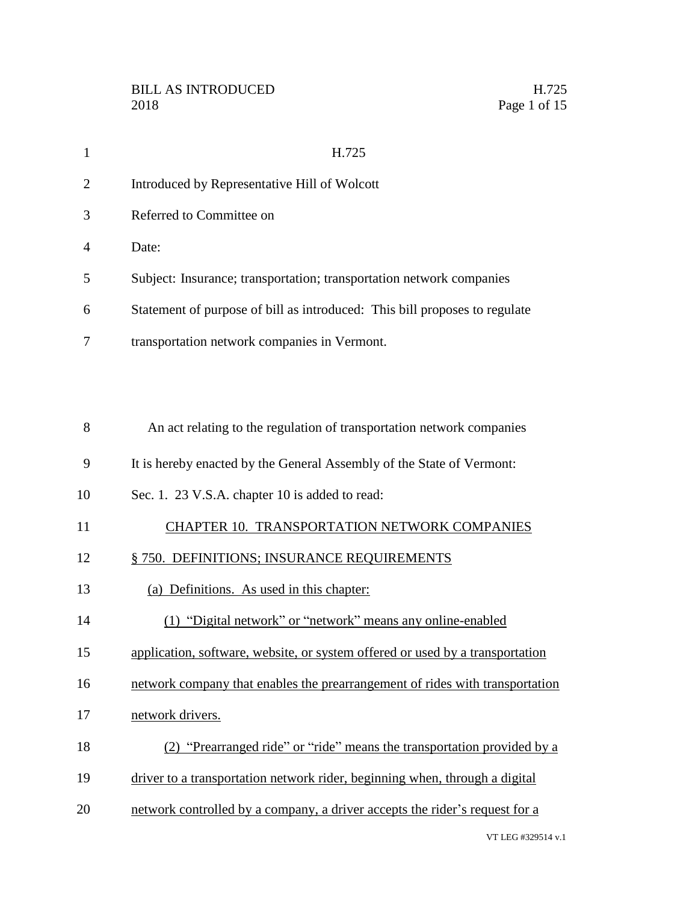| 1              | H.725                                                                      |
|----------------|----------------------------------------------------------------------------|
| 2              | Introduced by Representative Hill of Wolcott                               |
| 3              | Referred to Committee on                                                   |
| $\overline{4}$ | Date:                                                                      |
| 5              | Subject: Insurance; transportation; transportation network companies       |
| 6              | Statement of purpose of bill as introduced: This bill proposes to regulate |
| 7              | transportation network companies in Vermont.                               |
|                |                                                                            |
| 8              | An act relating to the regulation of transportation network companies      |
| 9              | It is hereby enacted by the General Assembly of the State of Vermont:      |
| 10             | Sec. 1. 23 V.S.A. chapter 10 is added to read:                             |
| 11             | CHAPTER 10. TRANSPORTATION NETWORK COMPANIES                               |
| 12             | § 750. DEFINITIONS; INSURANCE REQUIREMENTS                                 |
| 13             | (a) Definitions. As used in this chapter:                                  |
| 14             | (1) "Digital network" or "network" means any online-enabled                |

- application, software, website, or system offered or used by a transportation
- network company that enables the prearrangement of rides with transportation
- 17 network drivers.
- (2) "Prearranged ride" or "ride" means the transportation provided by a
- driver to a transportation network rider, beginning when, through a digital
- network controlled by a company, a driver accepts the rider's request for a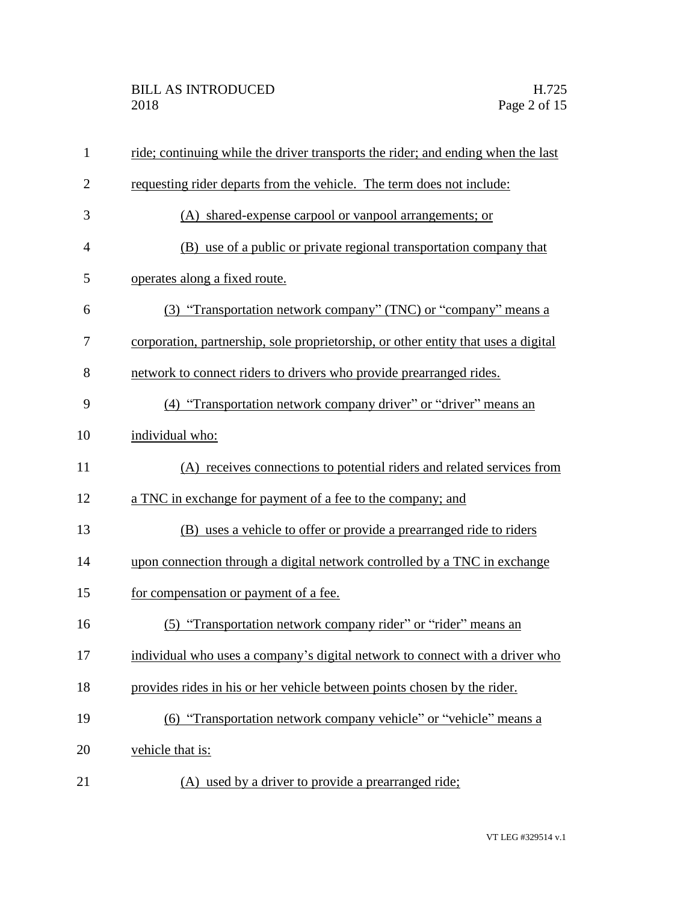| $\mathbf{1}$   | ride; continuing while the driver transports the rider; and ending when the last   |
|----------------|------------------------------------------------------------------------------------|
| $\overline{2}$ | requesting rider departs from the vehicle. The term does not include:              |
| 3              | (A) shared-expense carpool or vanpool arrangements; or                             |
| $\overline{4}$ | (B) use of a public or private regional transportation company that                |
| 5              | operates along a fixed route.                                                      |
| 6              | (3) "Transportation network company" (TNC) or "company" means a                    |
| 7              | corporation, partnership, sole proprietorship, or other entity that uses a digital |
| 8              | network to connect riders to drivers who provide prearranged rides.                |
| 9              | (4) "Transportation network company driver" or "driver" means an                   |
| 10             | individual who:                                                                    |
| 11             | (A) receives connections to potential riders and related services from             |
| 12             | a TNC in exchange for payment of a fee to the company; and                         |
| 13             | (B) uses a vehicle to offer or provide a prearranged ride to riders                |
| 14             | upon connection through a digital network controlled by a TNC in exchange          |
| 15             | for compensation or payment of a fee.                                              |
| 16             | (5) "Transportation network company rider" or "rider" means an                     |
| 17             | individual who uses a company's digital network to connect with a driver who       |
| 18             | provides rides in his or her vehicle between points chosen by the rider.           |
| 19             | (6) "Transportation network company vehicle" or "vehicle" means a                  |
| 20             | vehicle that is:                                                                   |
| 21             | (A) used by a driver to provide a prearranged ride;                                |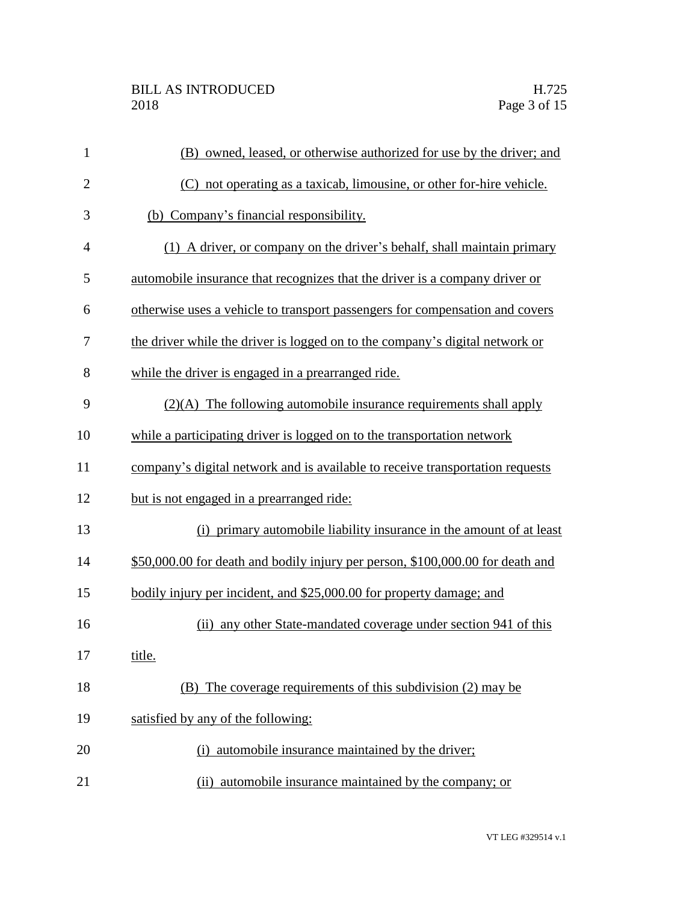| $\mathbf{1}$   | (B) owned, leased, or otherwise authorized for use by the driver; and          |
|----------------|--------------------------------------------------------------------------------|
| $\overline{2}$ | (C) not operating as a taxicab, limousine, or other for-hire vehicle.          |
| 3              | (b) Company's financial responsibility.                                        |
| 4              | (1) A driver, or company on the driver's behalf, shall maintain primary        |
| 5              | automobile insurance that recognizes that the driver is a company driver or    |
| 6              | otherwise uses a vehicle to transport passengers for compensation and covers   |
| 7              | the driver while the driver is logged on to the company's digital network or   |
| 8              | while the driver is engaged in a prearranged ride.                             |
| 9              | $(2)(A)$ The following automobile insurance requirements shall apply           |
| 10             | while a participating driver is logged on to the transportation network        |
| 11             | company's digital network and is available to receive transportation requests  |
| 12             | but is not engaged in a prearranged ride:                                      |
| 13             | (i) primary automobile liability insurance in the amount of at least           |
| 14             | \$50,000.00 for death and bodily injury per person, \$100,000.00 for death and |
| 15             | bodily injury per incident, and \$25,000.00 for property damage; and           |
| 16             | any other State-mandated coverage under section 941 of this<br>(ii)            |
| 17             | title.                                                                         |
| 18             | (B) The coverage requirements of this subdivision (2) may be                   |
| 19             | satisfied by any of the following:                                             |
| 20             | (i) automobile insurance maintained by the driver;                             |
| 21             | automobile insurance maintained by the company; or<br>(ii)                     |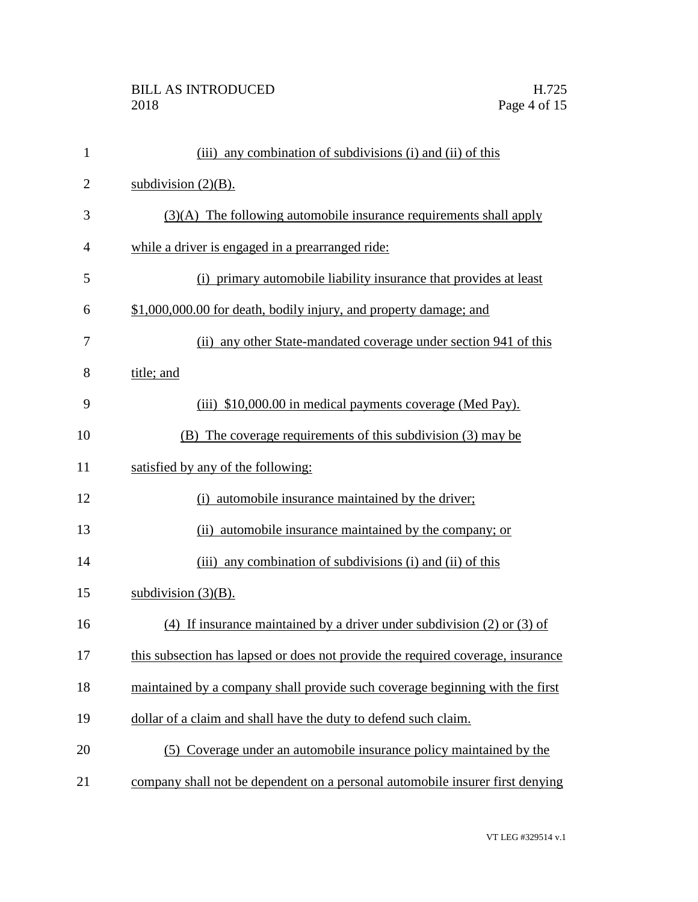## BILL AS INTRODUCED H.725 Page 4 of 15

| $\mathbf{1}$   | (iii) any combination of subdivisions (i) and (ii) of this                      |
|----------------|---------------------------------------------------------------------------------|
| $\overline{2}$ | subdivision $(2)(B)$ .                                                          |
| 3              | $(3)(A)$ The following automobile insurance requirements shall apply            |
| 4              | while a driver is engaged in a prearranged ride:                                |
| 5              | (i) primary automobile liability insurance that provides at least               |
| 6              | \$1,000,000.00 for death, bodily injury, and property damage; and               |
| 7              | (ii) any other State-mandated coverage under section 941 of this                |
| 8              | title; and                                                                      |
| 9              | (iii) \$10,000.00 in medical payments coverage (Med Pay).                       |
| 10             | (B) The coverage requirements of this subdivision (3) may be                    |
| 11             | satisfied by any of the following:                                              |
| 12             | (i) automobile insurance maintained by the driver;                              |
| 13             | (ii) automobile insurance maintained by the company; or                         |
| 14             | (iii) any combination of subdivisions (i) and (ii) of this                      |
| 15             | subdivision $(3)(B)$ .                                                          |
| 16             | (4) If insurance maintained by a driver under subdivision $(2)$ or $(3)$ of     |
| 17             | this subsection has lapsed or does not provide the required coverage, insurance |
| 18             | maintained by a company shall provide such coverage beginning with the first    |
| 19             | dollar of a claim and shall have the duty to defend such claim.                 |
| 20             | (5) Coverage under an automobile insurance policy maintained by the             |
| 21             | company shall not be dependent on a personal automobile insurer first denying   |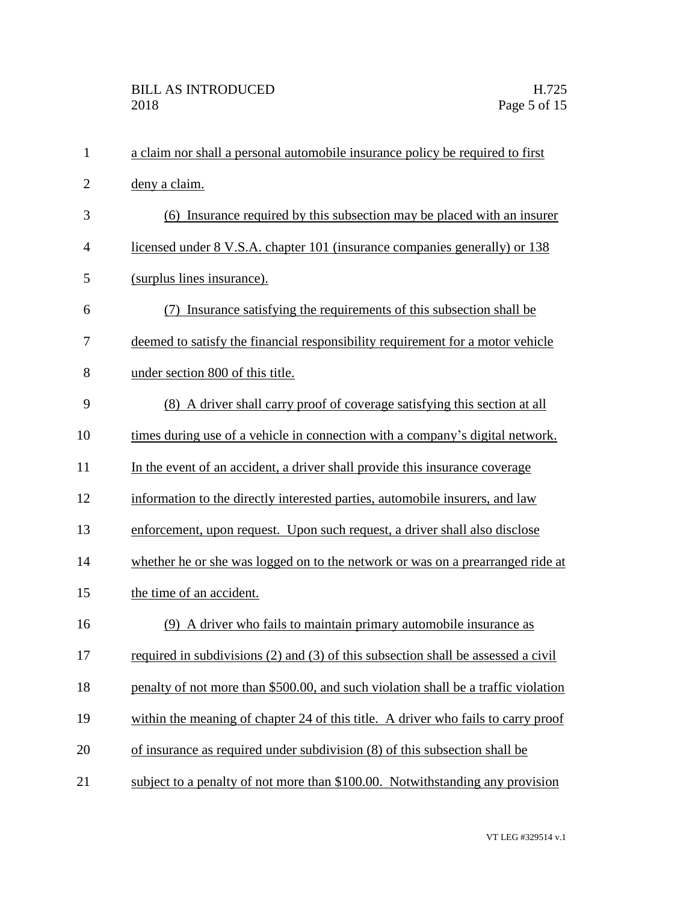| $\mathbf{1}$   | a claim nor shall a personal automobile insurance policy be required to first      |
|----------------|------------------------------------------------------------------------------------|
| $\overline{2}$ | deny a claim.                                                                      |
| 3              | (6) Insurance required by this subsection may be placed with an insurer            |
| $\overline{4}$ | licensed under 8 V.S.A. chapter 101 (insurance companies generally) or 138         |
| 5              | (surplus lines insurance).                                                         |
| 6              | Insurance satisfying the requirements of this subsection shall be                  |
| 7              | deemed to satisfy the financial responsibility requirement for a motor vehicle     |
| 8              | under section 800 of this title.                                                   |
| 9              | (8) A driver shall carry proof of coverage satisfying this section at all          |
| 10             | times during use of a vehicle in connection with a company's digital network.      |
| 11             | In the event of an accident, a driver shall provide this insurance coverage        |
| 12             | information to the directly interested parties, automobile insurers, and law       |
| 13             | enforcement, upon request. Upon such request, a driver shall also disclose         |
| 14             | whether he or she was logged on to the network or was on a prearranged ride at     |
| 15             | the time of an accident.                                                           |
| 16             | (9) A driver who fails to maintain primary automobile insurance as                 |
| 17             | required in subdivisions (2) and (3) of this subsection shall be assessed a civil  |
| 18             | penalty of not more than \$500.00, and such violation shall be a traffic violation |
| 19             | within the meaning of chapter 24 of this title. A driver who fails to carry proof  |
| 20             | of insurance as required under subdivision (8) of this subsection shall be         |
| 21             | subject to a penalty of not more than \$100.00. Notwithstanding any provision      |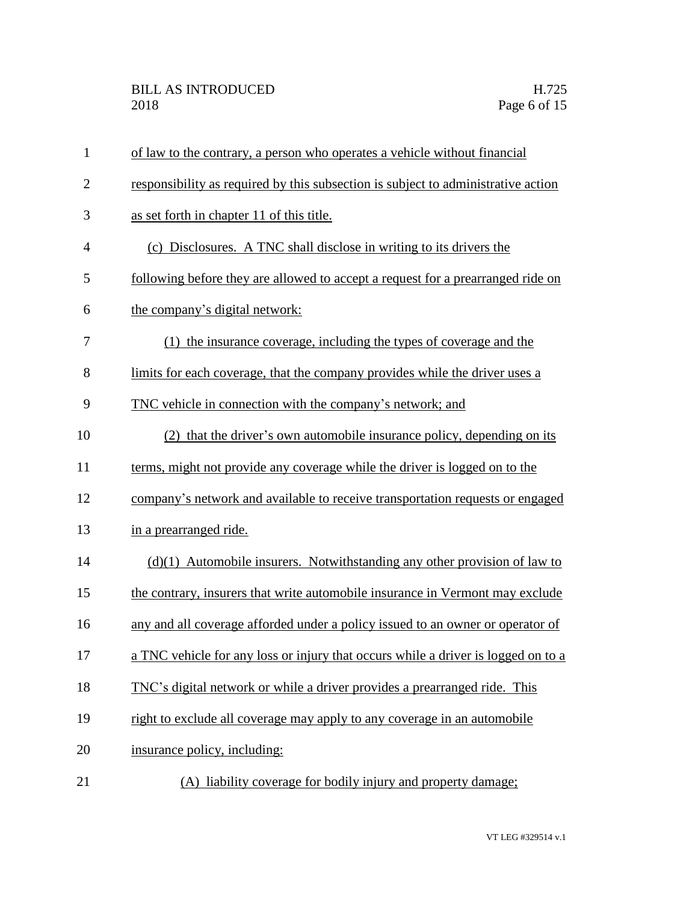| $\mathbf{1}$   | of law to the contrary, a person who operates a vehicle without financial         |
|----------------|-----------------------------------------------------------------------------------|
| $\overline{2}$ | responsibility as required by this subsection is subject to administrative action |
| 3              | as set forth in chapter 11 of this title.                                         |
| $\overline{4}$ | (c) Disclosures. A TNC shall disclose in writing to its drivers the               |
| 5              | following before they are allowed to accept a request for a prearranged ride on   |
| 6              | the company's digital network:                                                    |
| 7              | (1) the insurance coverage, including the types of coverage and the               |
| 8              | limits for each coverage, that the company provides while the driver uses a       |
| 9              | TNC vehicle in connection with the company's network; and                         |
| 10             | (2) that the driver's own automobile insurance policy, depending on its           |
| 11             | terms, might not provide any coverage while the driver is logged on to the        |
| 12             | company's network and available to receive transportation requests or engaged     |
| 13             | in a prearranged ride.                                                            |
| 14             | $(d)(1)$ Automobile insurers. Notwithstanding any other provision of law to       |
| 15             | the contrary, insurers that write automobile insurance in Vermont may exclude     |
| 16             | any and all coverage afforded under a policy issued to an owner or operator of    |
| 17             | a TNC vehicle for any loss or injury that occurs while a driver is logged on to a |
| 18             | TNC's digital network or while a driver provides a prearranged ride. This         |
| 19             | right to exclude all coverage may apply to any coverage in an automobile          |
| 20             | insurance policy, including:                                                      |
| 21             | (A) liability coverage for bodily injury and property damage;                     |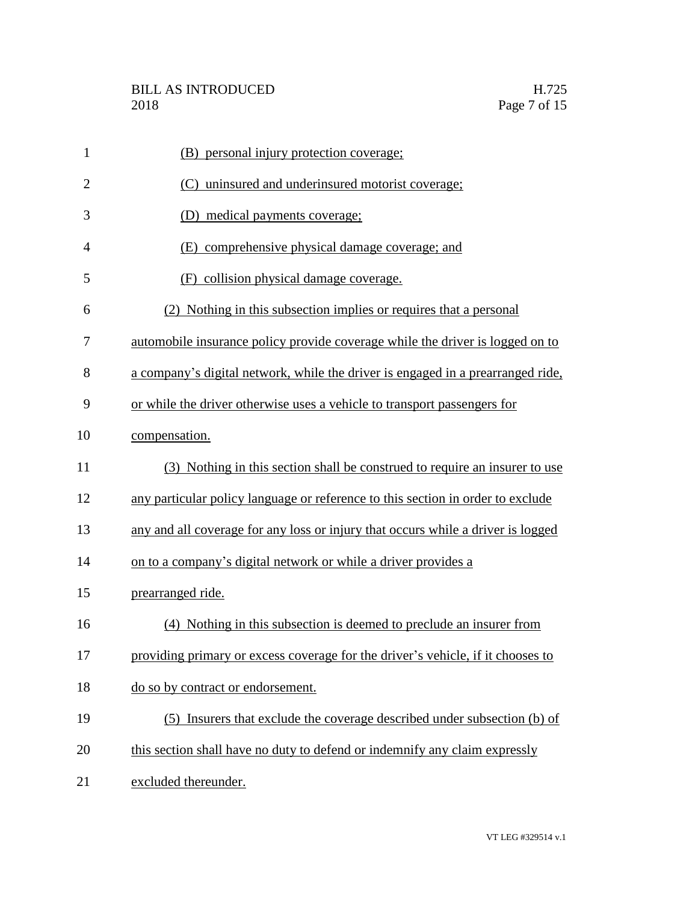| $\mathbf{1}$   | (B) personal injury protection coverage;                                         |
|----------------|----------------------------------------------------------------------------------|
| $\overline{2}$ | (C) uninsured and underinsured motorist coverage;                                |
| 3              | (D) medical payments coverage;                                                   |
| 4              | (E) comprehensive physical damage coverage; and                                  |
| 5              | (F) collision physical damage coverage.                                          |
| 6              | (2) Nothing in this subsection implies or requires that a personal               |
| 7              | automobile insurance policy provide coverage while the driver is logged on to    |
| 8              | a company's digital network, while the driver is engaged in a prearranged ride,  |
| 9              | or while the driver otherwise uses a vehicle to transport passengers for         |
| 10             | compensation.                                                                    |
| 11             | (3) Nothing in this section shall be construed to require an insurer to use      |
| 12             | any particular policy language or reference to this section in order to exclude  |
| 13             | any and all coverage for any loss or injury that occurs while a driver is logged |
| 14             | on to a company's digital network or while a driver provides a                   |
| 15             | prearranged ride.                                                                |
| 16             | (4) Nothing in this subsection is deemed to preclude an insurer from             |
| 17             | providing primary or excess coverage for the driver's vehicle, if it chooses to  |
| 18             | do so by contract or endorsement.                                                |
| 19             | (5) Insurers that exclude the coverage described under subsection (b) of         |
| 20             | this section shall have no duty to defend or indemnify any claim expressly       |
| 21             | excluded thereunder.                                                             |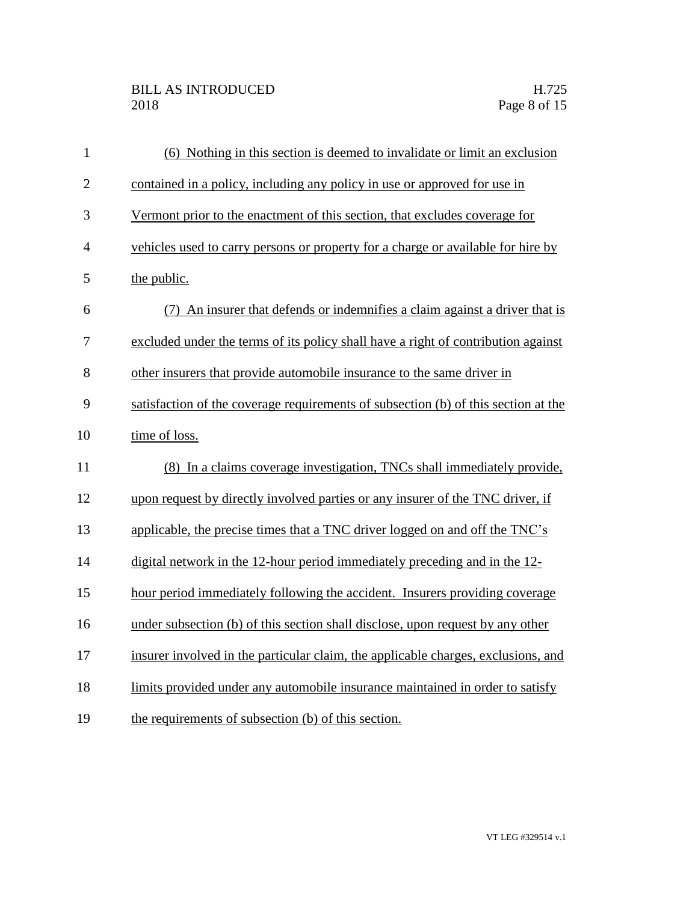## BILL AS INTRODUCED H.725<br>2018 Page 8 of 15

| $\mathbf{1}$   | (6) Nothing in this section is deemed to invalidate or limit an exclusion          |
|----------------|------------------------------------------------------------------------------------|
| $\overline{2}$ | contained in a policy, including any policy in use or approved for use in          |
| 3              | Vermont prior to the enactment of this section, that excludes coverage for         |
| $\overline{4}$ | vehicles used to carry persons or property for a charge or available for hire by   |
| 5              | the public.                                                                        |
| 6              | (7) An insurer that defends or indemnifies a claim against a driver that is        |
| 7              | excluded under the terms of its policy shall have a right of contribution against  |
| 8              | other insurers that provide automobile insurance to the same driver in             |
| 9              | satisfaction of the coverage requirements of subsection (b) of this section at the |
| 10             | time of loss.                                                                      |
| 11             | (8) In a claims coverage investigation, TNCs shall immediately provide,            |
| 12             | upon request by directly involved parties or any insurer of the TNC driver, if     |
| 13             | applicable, the precise times that a TNC driver logged on and off the TNC's        |
| 14             | digital network in the 12-hour period immediately preceding and in the 12-         |
| 15             | hour period immediately following the accident. Insurers providing coverage        |
| 16             | under subsection (b) of this section shall disclose, upon request by any other     |
| 17             | insurer involved in the particular claim, the applicable charges, exclusions, and  |
| 18             | limits provided under any automobile insurance maintained in order to satisfy      |
| 19             | the requirements of subsection (b) of this section.                                |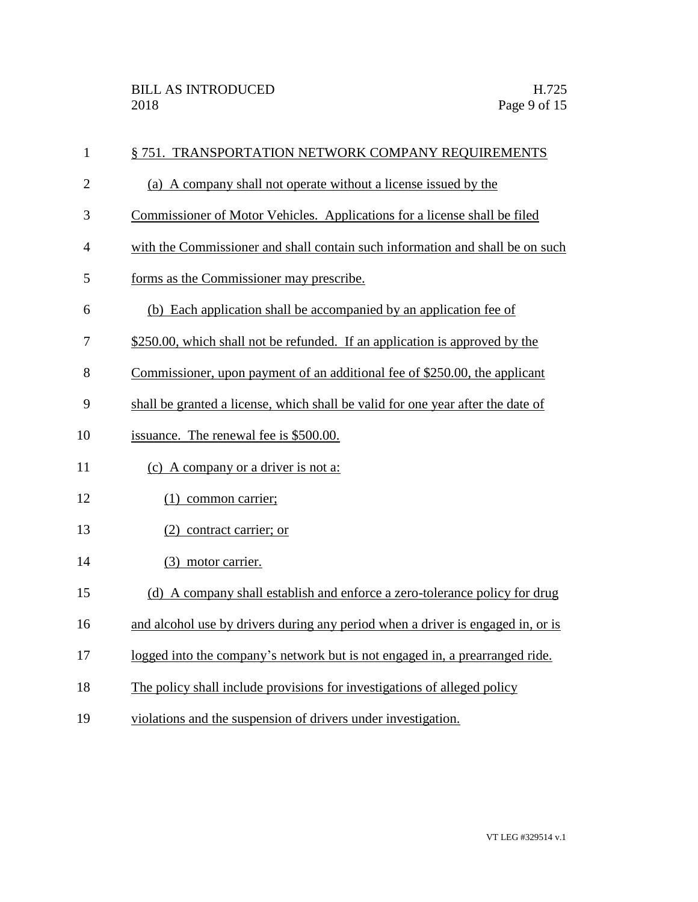| $\mathbf{1}$   | § 751. TRANSPORTATION NETWORK COMPANY REQUIREMENTS                              |
|----------------|---------------------------------------------------------------------------------|
| $\overline{2}$ | (a) A company shall not operate without a license issued by the                 |
| 3              | Commissioner of Motor Vehicles. Applications for a license shall be filed       |
| $\overline{4}$ | with the Commissioner and shall contain such information and shall be on such   |
| 5              | forms as the Commissioner may prescribe.                                        |
| 6              | (b) Each application shall be accompanied by an application fee of              |
| 7              | \$250.00, which shall not be refunded. If an application is approved by the     |
| 8              | Commissioner, upon payment of an additional fee of \$250.00, the applicant      |
| 9              | shall be granted a license, which shall be valid for one year after the date of |
| 10             | issuance. The renewal fee is \$500.00.                                          |
| 11             | (c) A company or a driver is not a:                                             |
| 12             | $(1)$ common carrier;                                                           |
| 13             | (2) contract carrier; or                                                        |
| 14             | (3) motor carrier.                                                              |
| 15             | (d) A company shall establish and enforce a zero-tolerance policy for drug      |
| 16             | and alcohol use by drivers during any period when a driver is engaged in, or is |
| 17             | logged into the company's network but is not engaged in, a prearranged ride.    |
| 18             | The policy shall include provisions for investigations of alleged policy        |
| 19             | violations and the suspension of drivers under investigation.                   |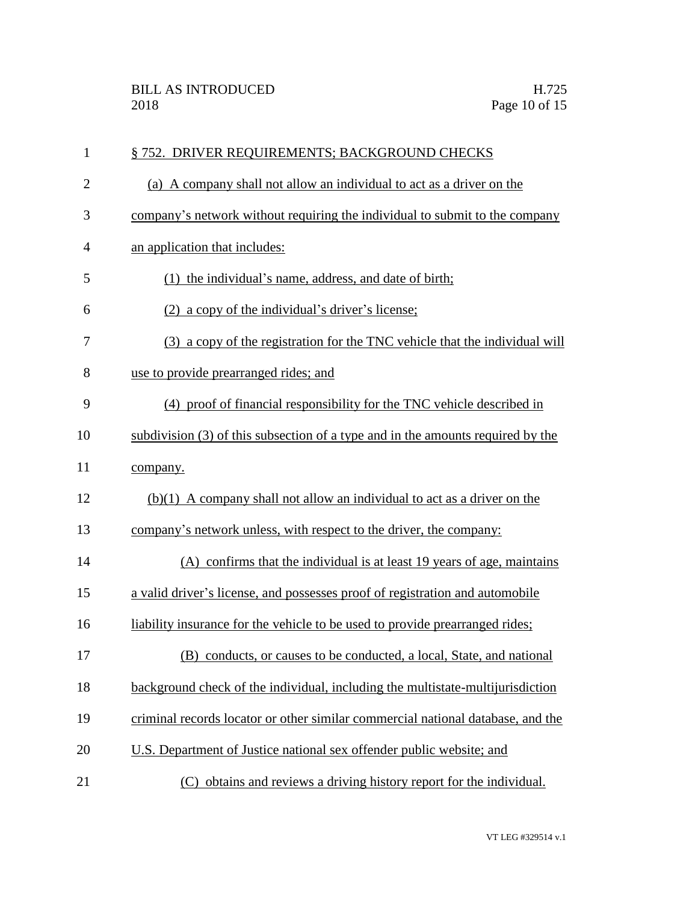| $\mathbf{1}$   | § 752. DRIVER REQUIREMENTS; BACKGROUND CHECKS                                   |
|----------------|---------------------------------------------------------------------------------|
| $\overline{2}$ | (a) A company shall not allow an individual to act as a driver on the           |
| 3              | company's network without requiring the individual to submit to the company     |
| $\overline{4}$ | an application that includes:                                                   |
| 5              | (1) the individual's name, address, and date of birth;                          |
| 6              | (2) a copy of the individual's driver's license;                                |
| 7              | (3) a copy of the registration for the TNC vehicle that the individual will     |
| 8              | use to provide prearranged rides; and                                           |
| 9              | (4) proof of financial responsibility for the TNC vehicle described in          |
| 10             | subdivision (3) of this subsection of a type and in the amounts required by the |
| 11             | company.                                                                        |
| 12             | $(b)(1)$ A company shall not allow an individual to act as a driver on the      |
| 13             | company's network unless, with respect to the driver, the company:              |
| 14             | (A) confirms that the individual is at least 19 years of age, maintains         |
| 15             | a valid driver's license, and possesses proof of registration and automobile    |
| 16             | liability insurance for the vehicle to be used to provide prearranged rides;    |
| 17             | (B) conducts, or causes to be conducted, a local, State, and national           |
| 18             | background check of the individual, including the multistate-multijurisdiction  |
| 19             | criminal records locator or other similar commercial national database, and the |
| 20             | U.S. Department of Justice national sex offender public website; and            |
| 21             | (C) obtains and reviews a driving history report for the individual.            |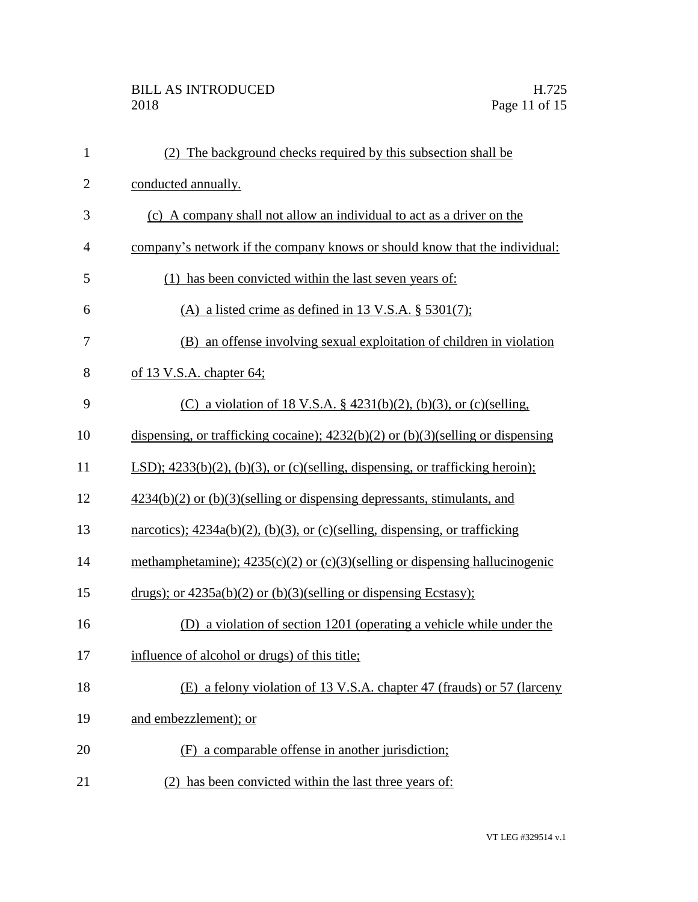## BILL AS INTRODUCED H.725<br>2018 Page 11 of 15

| $\mathbf{1}$   | (2) The background checks required by this subsection shall be                                |
|----------------|-----------------------------------------------------------------------------------------------|
| $\overline{2}$ | conducted annually.                                                                           |
| 3              | (c) A company shall not allow an individual to act as a driver on the                         |
| $\overline{4}$ | company's network if the company knows or should know that the individual:                    |
| 5              | (1) has been convicted within the last seven years of:                                        |
| 6              | (A) a listed crime as defined in 13 V.S.A. $\S$ 5301(7);                                      |
| 7              | (B) an offense involving sexual exploitation of children in violation                         |
| 8              | of 13 V.S.A. chapter 64;                                                                      |
| 9              | (C) a violation of 18 V.S.A. § 4231(b)(2), (b)(3), or (c)(selling,                            |
| 10             | dispensing, or trafficking cocaine); $4232(b)(2)$ or $(b)(3)$ (selling or dispensing          |
| 11             | LSD); $4233(b)(2)$ , $(b)(3)$ , or $(c)(\text{selling, dispensing, or trafficking heroin)}$ ; |
| 12             | $4234(b)(2)$ or $(b)(3)$ (selling or dispensing depressants, stimulants, and                  |
| 13             | narcotics); $4234a(b)(2)$ , (b)(3), or (c)(selling, dispensing, or trafficking                |
| 14             | methamphetamine); $4235(c)(2)$ or $(c)(3)$ (selling or dispensing hallucinogenic              |
| 15             | drugs); or $4235a(b)(2)$ or $(b)(3)($ selling or dispensing Ecstasy);                         |
| 16             | (D) a violation of section 1201 (operating a vehicle while under the                          |
| 17             | influence of alcohol or drugs) of this title;                                                 |
| 18             | (E) a felony violation of 13 V.S.A. chapter 47 (frauds) or 57 (larceny                        |
| 19             | and embezzlement); or                                                                         |
| 20             | (F) a comparable offense in another jurisdiction;                                             |
| 21             | (2) has been convicted within the last three years of:                                        |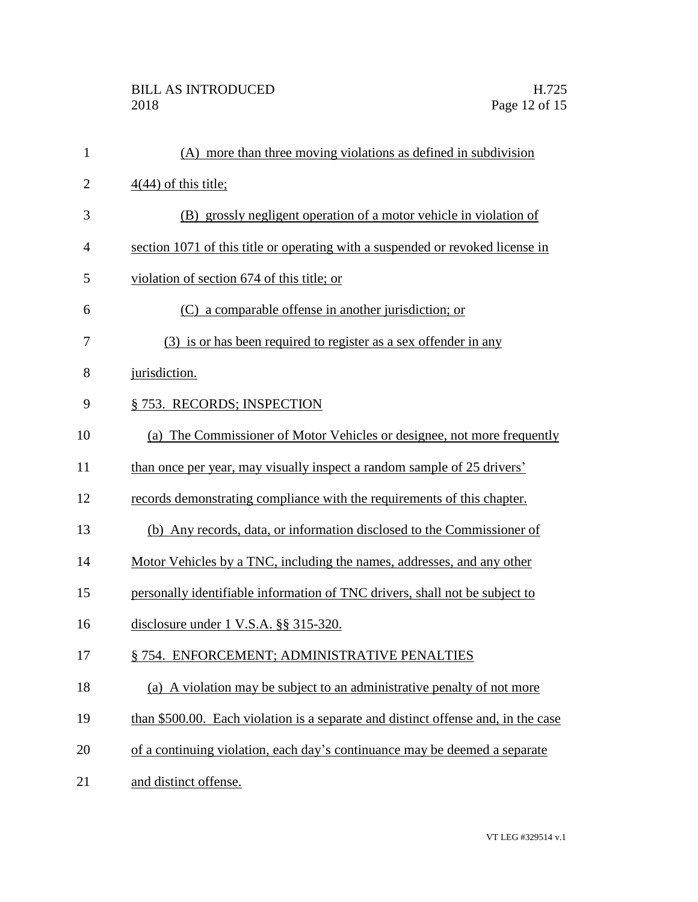| $\mathbf{1}$   | (A) more than three moving violations as defined in subdivision                   |
|----------------|-----------------------------------------------------------------------------------|
| $\overline{2}$ | $4(44)$ of this title;                                                            |
| 3              | (B) grossly negligent operation of a motor vehicle in violation of                |
| 4              | section 1071 of this title or operating with a suspended or revoked license in    |
| 5              | violation of section 674 of this title; or                                        |
| 6              | (C) a comparable offense in another jurisdiction; or                              |
| 7              | (3) is or has been required to register as a sex offender in any                  |
| 8              | jurisdiction.                                                                     |
| 9              | § 753. RECORDS; INSPECTION                                                        |
| 10             | (a) The Commissioner of Motor Vehicles or designee, not more frequently           |
| 11             | than once per year, may visually inspect a random sample of 25 drivers'           |
| 12             | records demonstrating compliance with the requirements of this chapter.           |
| 13             | (b) Any records, data, or information disclosed to the Commissioner of            |
| 14             | Motor Vehicles by a TNC, including the names, addresses, and any other            |
| 15             | personally identifiable information of TNC drivers, shall not be subject to       |
| 16             | disclosure under $1$ V.S.A. $\S$ $\S$ 315-320.                                    |
| 17             | §754. ENFORCEMENT; ADMINISTRATIVE PENALTIES                                       |
| 18             | (a) A violation may be subject to an administrative penalty of not more           |
| 19             | than \$500.00. Each violation is a separate and distinct offense and, in the case |
| 20             | of a continuing violation, each day's continuance may be deemed a separate        |
| 21             | and distinct offense.                                                             |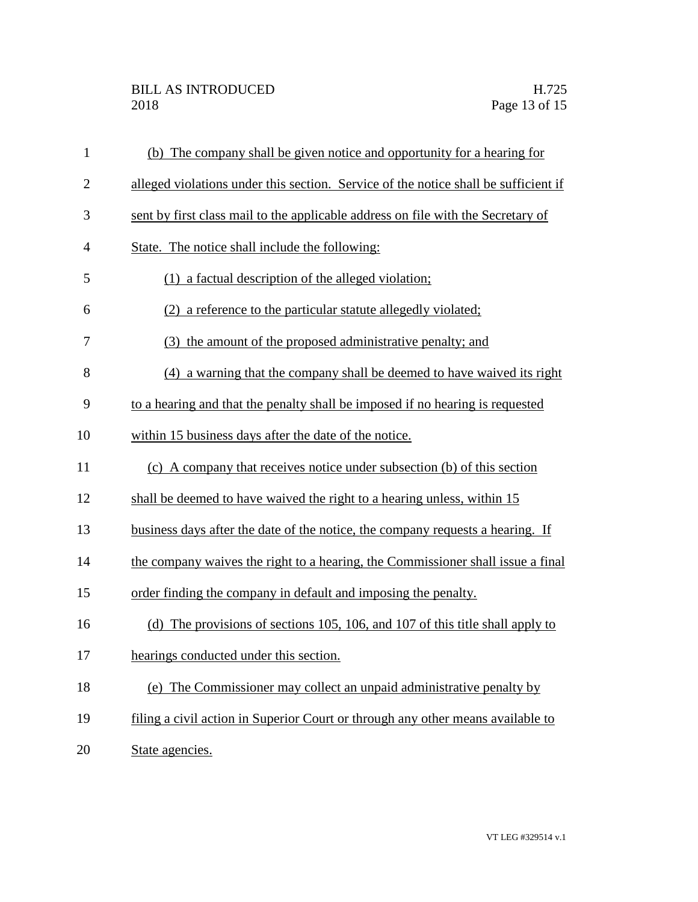## BILL AS INTRODUCED H.725 2018 Page 13 of 15

| $\mathbf{1}$   | (b) The company shall be given notice and opportunity for a hearing for             |
|----------------|-------------------------------------------------------------------------------------|
| $\overline{2}$ | alleged violations under this section. Service of the notice shall be sufficient if |
| 3              | sent by first class mail to the applicable address on file with the Secretary of    |
| $\overline{4}$ | State. The notice shall include the following:                                      |
| 5              | (1) a factual description of the alleged violation;                                 |
| 6              | (2) a reference to the particular statute allegedly violated;                       |
| 7              | the amount of the proposed administrative penalty; and                              |
| 8              | (4) a warning that the company shall be deemed to have waived its right             |
| 9              | to a hearing and that the penalty shall be imposed if no hearing is requested       |
| 10             | within 15 business days after the date of the notice.                               |
| 11             | (c) A company that receives notice under subsection (b) of this section             |
| 12             | shall be deemed to have waived the right to a hearing unless, within 15             |
| 13             | business days after the date of the notice, the company requests a hearing. If      |
| 14             | the company waives the right to a hearing, the Commissioner shall issue a final     |
| 15             | order finding the company in default and imposing the penalty.                      |
| 16             | The provisions of sections 105, 106, and 107 of this title shall apply to<br>(d)    |
| 17             | hearings conducted under this section.                                              |
| 18             | (e) The Commissioner may collect an unpaid administrative penalty by                |
| 19             | filing a civil action in Superior Court or through any other means available to     |
| 20             | State agencies.                                                                     |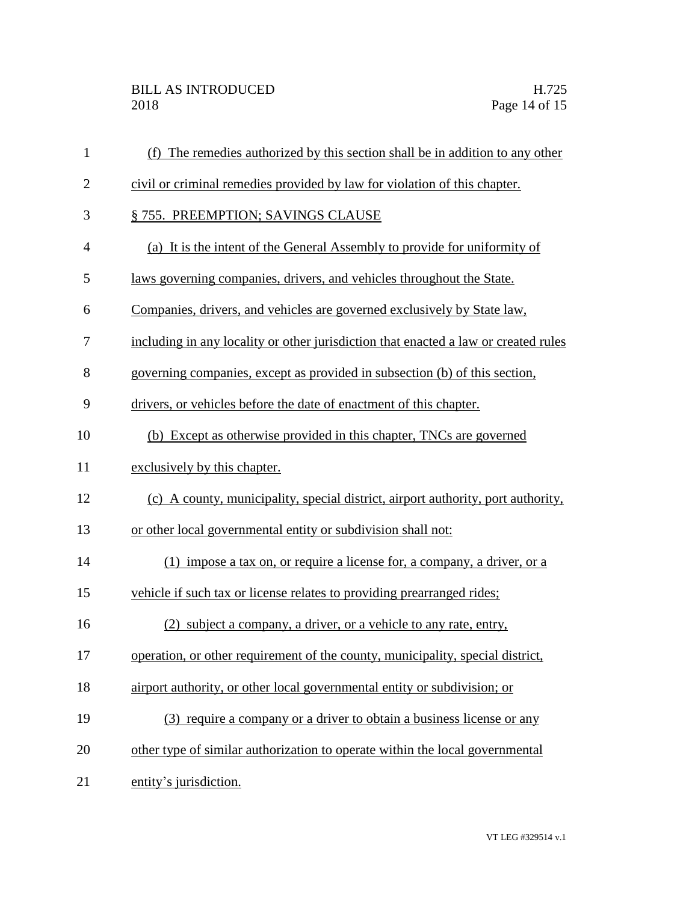| $\mathbf{1}$   | The remedies authorized by this section shall be in addition to any other<br>(f)    |
|----------------|-------------------------------------------------------------------------------------|
| $\overline{2}$ | civil or criminal remedies provided by law for violation of this chapter.           |
| 3              | § 755. PREEMPTION; SAVINGS CLAUSE                                                   |
| $\overline{4}$ | (a) It is the intent of the General Assembly to provide for uniformity of           |
| 5              | laws governing companies, drivers, and vehicles throughout the State.               |
| 6              | Companies, drivers, and vehicles are governed exclusively by State law,             |
| 7              | including in any locality or other jurisdiction that enacted a law or created rules |
| 8              | governing companies, except as provided in subsection (b) of this section,          |
| 9              | drivers, or vehicles before the date of enactment of this chapter.                  |
| 10             | (b) Except as otherwise provided in this chapter, TNCs are governed                 |
| 11             | exclusively by this chapter.                                                        |
| 12             | (c) A county, municipality, special district, airport authority, port authority,    |
| 13             | or other local governmental entity or subdivision shall not:                        |
| 14             | (1) impose a tax on, or require a license for, a company, a driver, or a            |
| 15             | vehicle if such tax or license relates to providing prearranged rides;              |
| 16             | (2) subject a company, a driver, or a vehicle to any rate, entry,                   |
| 17             | operation, or other requirement of the county, municipality, special district,      |
| 18             | airport authority, or other local governmental entity or subdivision; or            |
| 19             | (3) require a company or a driver to obtain a business license or any               |
| 20             | other type of similar authorization to operate within the local governmental        |
| 21             | entity's jurisdiction.                                                              |